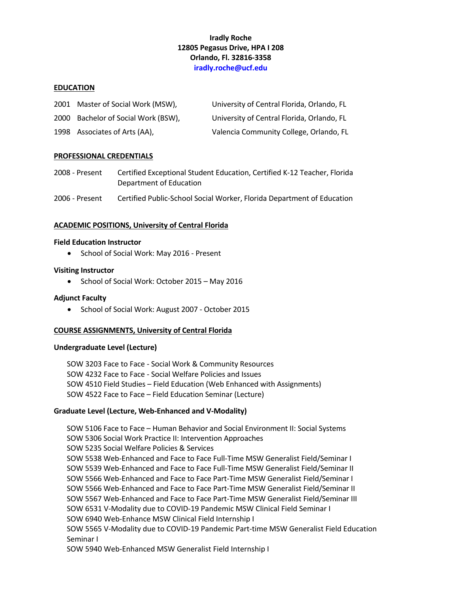# **Iradly Roche 12805 Pegasus Drive, HPA I 208 Orlando, Fl. 32816-3358 iradly.roche@ucf.edu**

#### **EDUCATION**

| 2001 Master of Social Work (MSW),   | University of Central Florida, Orlando, FL |
|-------------------------------------|--------------------------------------------|
| 2000 Bachelor of Social Work (BSW), | University of Central Florida, Orlando, FL |
| 1998 Associates of Arts (AA),       | Valencia Community College, Orlando, FL    |

#### **PROFESSIONAL CREDENTIALS**

2008 - Present Certified Exceptional Student Education, Certified K-12 Teacher, Florida Department of Education

2006 - Present Certified Public-School Social Worker, Florida Department of Education

### **ACADEMIC POSITIONS, University of Central Florida**

#### **Field Education Instructor**

• School of Social Work: May 2016 - Present

#### **Visiting Instructor**

• School of Social Work: October 2015 – May 2016

#### **Adjunct Faculty**

• School of Social Work: August 2007 - October 2015

#### **COURSE ASSIGNMENTS, University of Central Florida**

#### **Undergraduate Level (Lecture)**

SOW 3203 Face to Face - Social Work & Community Resources SOW 4232 Face to Face - Social Welfare Policies and Issues SOW 4510 Field Studies – Field Education (Web Enhanced with Assignments) SOW 4522 Face to Face – Field Education Seminar (Lecture)

#### **Graduate Level (Lecture, Web-Enhanced and V-Modality)**

SOW 5106 Face to Face – Human Behavior and Social Environment II: Social Systems SOW 5306 Social Work Practice II: Intervention Approaches SOW 5235 Social Welfare Policies & Services SOW 5538 Web-Enhanced and Face to Face Full-Time MSW Generalist Field/Seminar I SOW 5539 Web-Enhanced and Face to Face Full-Time MSW Generalist Field/Seminar II SOW 5566 Web-Enhanced and Face to Face Part-Time MSW Generalist Field/Seminar I SOW 5566 Web-Enhanced and Face to Face Part-Time MSW Generalist Field/Seminar II SOW 5567 Web-Enhanced and Face to Face Part-Time MSW Generalist Field/Seminar III SOW 6531 V-Modality due to COVID-19 Pandemic MSW Clinical Field Seminar I SOW 6940 Web-Enhance MSW Clinical Field Internship I SOW 5565 V-Modality due to COVID-19 Pandemic Part-time MSW Generalist Field Education Seminar I SOW 5940 Web-Enhanced MSW Generalist Field Internship I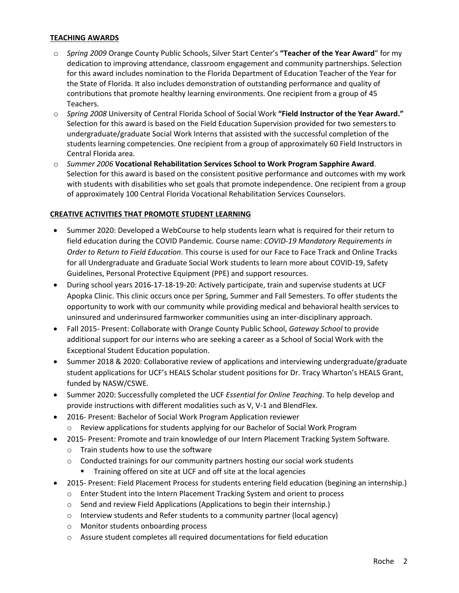### **TEACHING AWARDS**

- o *Spring 2009* Orange County Public Schools, Silver Start Center's **"Teacher of the Year Award**" for my dedication to improving attendance, classroom engagement and community partnerships. Selection for this award includes nomination to the Florida Department of Education Teacher of the Year for the State of Florida. It also includes demonstration of outstanding performance and quality of contributions that promote healthy learning environments. One recipient from a group of 45 Teachers.
- o *Spring 2008* University of Central Florida School of Social Work **"Field Instructor of the Year Award."** Selection for this award is based on the Field Education Supervision provided for two semesters to undergraduate/graduate Social Work Interns that assisted with the successful completion of the students learning competencies. One recipient from a group of approximately 60 Field Instructors in Central Florida area.
- o *Summer 2006* **Vocational Rehabilitation Services School to Work Program Sapphire Award**. Selection for this award is based on the consistent positive performance and outcomes with my work with students with disabilities who set goals that promote independence. One recipient from a group of approximately 100 Central Florida Vocational Rehabilitation Services Counselors.

# **CREATIVE ACTIVITIES THAT PROMOTE STUDENT LEARNING**

- Summer 2020: Developed a WebCourse to help students learn what is required for their return to field education during the COVID Pandemic. Course name: *COVID-19 Mandatory Requirements in Order to Return to Field Education*. This course is used for our Face to Face Track and Online Tracks for all Undergraduate and Graduate Social Work students to learn more about COVID-19, Safety Guidelines, Personal Protective Equipment (PPE) and support resources.
- During school years 2016-17-18-19-20: Actively participate, train and supervise students at UCF Apopka Clinic. This clinic occurs once per Spring, Summer and Fall Semesters. To offer students the opportunity to work with our community while providing medical and behavioral health services to uninsured and underinsured farmworker communities using an inter-disciplinary approach.
- Fall 2015- Present: Collaborate with Orange County Public School, *Gateway School* to provide additional support for our interns who are seeking a career as a School of Social Work with the Exceptional Student Education population.
- Summer 2018 & 2020: Collaborative review of applications and interviewing undergraduate/graduate student applications for UCF's HEALS Scholar student positions for Dr. Tracy Wharton's HEALS Grant, funded by NASW/CSWE.
- Summer 2020: Successfully completed the UCF *Essential for Online Teaching*. To help develop and provide instructions with different modalities such as V, V-1 and BlendFlex.
	- 2016- Present: Bachelor of Social Work Program Application reviewer
	- o Review applications for students applying for our Bachelor of Social Work Program
- 2015- Present: Promote and train knowledge of our Intern Placement Tracking System Software.
	- o Train students how to use the software
	- $\circ$  Conducted trainings for our community partners hosting our social work students
		- **■** Training offered on site at UCF and off site at the local agencies
- 2015- Present: Field Placement Process for students entering field education (begining an internship.)
	- o Enter Student into the Intern Placement Tracking System and orient to process
	- o Send and review Field Applications (Applications to begin their internship.)
	- $\circ$  Interview students and Refer students to a community partner (local agency)
	- o Monitor students onboarding process
	- o Assure student completes all required documentations for field education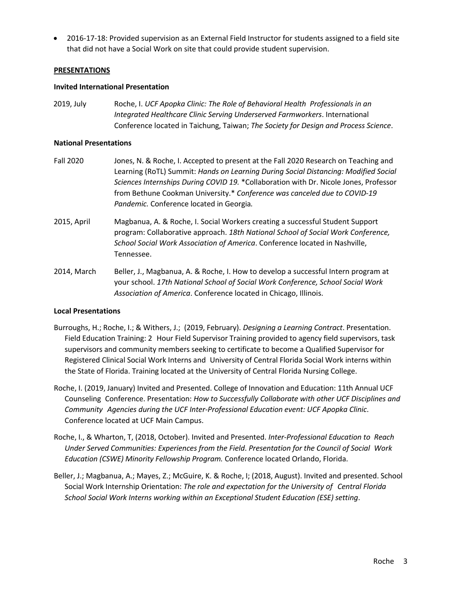• 2016-17-18: Provided supervision as an External Field Instructor for students assigned to a field site that did not have a Social Work on site that could provide student supervision.

#### **PRESENTATIONS**

#### **Invited International Presentation**

2019, July Roche, I. *UCF Apopka Clinic: The Role of Behavioral Health Professionals in an Integrated Healthcare Clinic Serving Underserved Farmworkers*. International Conference located in Taichung, Taiwan; *The Society for Design and Process Science*.

#### **National Presentations**

- Fall 2020 Jones, N. & Roche, I. Accepted to present at the Fall 2020 Research on Teaching and Learning (RoTL) Summit: *Hands on Learning During Social Distancing: Modified Social Sciences Internships During COVID 19.* \*Collaboration with Dr. Nicole Jones, Professor from Bethune Cookman University.\* *Conference was canceled due to COVID-19 Pandemic.* Conference located in Georgia*.*
- 2015, April Magbanua, A. & Roche, I. Social Workers creating a successful Student Support program: Collaborative approach. *18th National School of Social Work Conference, School Social Work Association of America*. Conference located in Nashville, Tennessee.
- 2014, March Beller, J., Magbanua, A. & Roche, I. How to develop a successful Intern program at your school. *17th National School of Social Work Conference, School Social Work Association of America*. Conference located in Chicago, Illinois.

### **Local Presentations**

- Burroughs, H.; Roche, I.; & Withers, J.; (2019, February). *Designing a Learning Contract*. Presentation. Field Education Training: 2 Hour Field Supervisor Training provided to agency field supervisors, task supervisors and community members seeking to certificate to become a Qualified Supervisor for Registered Clinical Social Work Interns and University of Central Florida Social Work interns within the State of Florida. Training located at the University of Central Florida Nursing College.
- Roche, I. (2019, January) Invited and Presented. College of Innovation and Education: 11th Annual UCF Counseling Conference. Presentation: *How to Successfully Collaborate with other UCF Disciplines and Community Agencies during the UCF Inter-Professional Education event: UCF Apopka Clinic*. Conference located at UCF Main Campus.
- Roche, I., & Wharton, T, (2018, October). Invited and Presented. *Inter-Professional Education to Reach Under Served Communities: Experiences from the Field*. *Presentation for the Council of Social Work Education (CSWE) Minority Fellowship Program.* Conference located Orlando, Florida.
- Beller, J.; Magbanua, A.; Mayes, Z.; McGuire, K. & Roche, I; (2018, August). Invited and presented. School Social Work Internship Orientation: *The role and expectation for the University of Central Florida School Social Work Interns working within an Exceptional Student Education (ESE) setting*.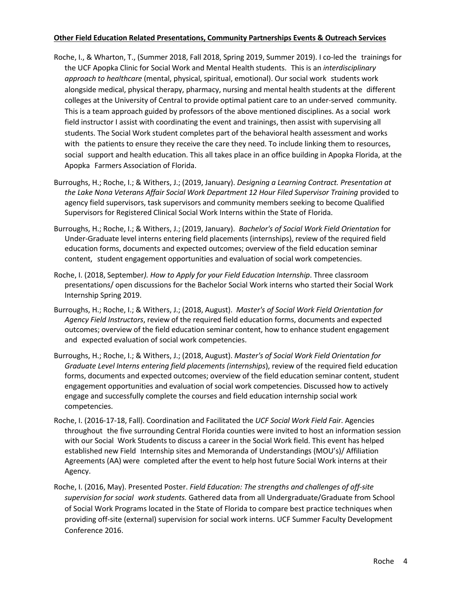### **Other Field Education Related Presentations, Community Partnerships Events & Outreach Services**

- Roche, I., & Wharton, T., (Summer 2018, Fall 2018, Spring 2019, Summer 2019). I co-led the trainings for the UCF Apopka Clinic for Social Work and Mental Health students. This is an *interdisciplinary approach to healthcare* (mental, physical, spiritual, emotional). Our social work students work alongside medical, physical therapy, pharmacy, nursing and mental health students at the different colleges at the University of Central to provide optimal patient care to an under-served community. This is a team approach guided by professors of the above mentioned disciplines. As a social work field instructor I assist with coordinating the event and trainings, then assist with supervising all students. The Social Work student completes part of the behavioral health assessment and works with the patients to ensure they receive the care they need. To include linking them to resources, social support and health education. This all takes place in an office building in Apopka Florida, at the Apopka Farmers Association of Florida.
- Burroughs, H.; Roche, I.; & Withers, J.; (2019, January). *Designing a Learning Contract. Presentation at the Lake Nona Veterans Affair Social Work Department 12 Hour Filed Supervisor Training* provided to agency field supervisors, task supervisors and community members seeking to become Qualified Supervisors for Registered Clinical Social Work Interns within the State of Florida.
- Burroughs, H.; Roche, I.; & Withers, J.; (2019, January). *Bachelor's of Social Work Field Orientation* for Under-Graduate level interns entering field placements (internships), review of the required field education forms, documents and expected outcomes; overview of the field education seminar content, student engagement opportunities and evaluation of social work competencies.
- Roche, I. (2018, September*). How to Apply for your Field Education Internship*. Three classroom presentations/ open discussions for the Bachelor Social Work interns who started their Social Work Internship Spring 2019.
- Burroughs, H.; Roche, I.; & Withers, J.; (2018, August). *Master's of Social Work Field Orientation for Agency Field Instructors*, review of the required field education forms, documents and expected outcomes; overview of the field education seminar content, how to enhance student engagement and expected evaluation of social work competencies.
- Burroughs, H.; Roche, I.; & Withers, J.; (2018, August). *Master's of Social Work Field Orientation for Graduate Level Interns entering field placements (internships*), review of the required field education forms, documents and expected outcomes; overview of the field education seminar content, student engagement opportunities and evaluation of social work competencies. Discussed how to actively engage and successfully complete the courses and field education internship social work competencies.
- Roche, I. (2016-17-18, Fall). Coordination and Facilitated the *UCF Social Work Field Fair*. Agencies throughout the five surrounding Central Florida counties were invited to host an information session with our Social Work Students to discuss a career in the Social Work field. This event has helped established new Field Internship sites and Memoranda of Understandings (MOU's)/ Affiliation Agreements (AA) were completed after the event to help host future Social Work interns at their Agency.
- Roche, I. (2016, May). Presented Poster. *Field Education: The strengths and challenges of off-site supervision for social work students.* Gathered data from all Undergraduate/Graduate from School of Social Work Programs located in the State of Florida to compare best practice techniques when providing off-site (external) supervision for social work interns. UCF Summer Faculty Development Conference 2016.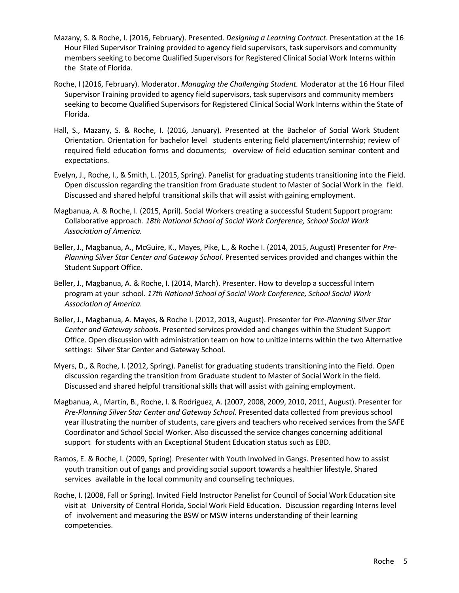- Mazany, S. & Roche, I. (2016, February). Presented. *Designing a Learning Contract*. Presentation at the 16 Hour Filed Supervisor Training provided to agency field supervisors, task supervisors and community members seeking to become Qualified Supervisors for Registered Clinical Social Work Interns within the State of Florida.
- Roche, I (2016, February). Moderator. *Managing the Challenging Student.* Moderator at the 16 Hour Filed Supervisor Training provided to agency field supervisors, task supervisors and community members seeking to become Qualified Supervisors for Registered Clinical Social Work Interns within the State of Florida.
- Hall, S., Mazany, S. & Roche, I. (2016, January). Presented at the Bachelor of Social Work Student Orientation. Orientation for bachelor level students entering field placement/internship; review of required field education forms and documents; overview of field education seminar content and expectations.
- Evelyn, J., Roche, I., & Smith, L. (2015, Spring). Panelist for graduating students transitioning into the Field. Open discussion regarding the transition from Graduate student to Master of Social Work in the field. Discussed and shared helpful transitional skills that will assist with gaining employment.
- Magbanua, A. & Roche, I. (2015, April). Social Workers creating a successful Student Support program: Collaborative approach. *18th National School of Social Work Conference, School Social Work Association of America.*
- Beller, J., Magbanua, A., McGuire, K., Mayes, Pike, L., & Roche I. (2014, 2015, August) Presenter for *Pre-Planning Silver Star Center and Gateway School*. Presented services provided and changes within the Student Support Office.
- Beller, J., Magbanua, A. & Roche, I. (2014, March). Presenter. How to develop a successful Intern program at your school. *17th National School of Social Work Conference, School Social Work Association of America.*
- Beller, J., Magbanua, A. Mayes, & Roche I. (2012, 2013, August). Presenter for *Pre-Planning Silver Star Center and Gateway schools*. Presented services provided and changes within the Student Support Office. Open discussion with administration team on how to unitize interns within the two Alternative settings: Silver Star Center and Gateway School.
- Myers, D., & Roche, I. (2012, Spring). Panelist for graduating students transitioning into the Field. Open discussion regarding the transition from Graduate student to Master of Social Work in the field. Discussed and shared helpful transitional skills that will assist with gaining employment.
- Magbanua, A., Martin, B., Roche, I. & Rodriguez, A. (2007, 2008, 2009, 2010, 2011, August). Presenter for *Pre-Planning Silver Star Center and Gateway School.* Presented data collected from previous school year illustrating the number of students, care givers and teachers who received services from the SAFE Coordinator and School Social Worker. Also discussed the service changes concerning additional support for students with an Exceptional Student Education status such as EBD.
- Ramos, E. & Roche, I. (2009, Spring). Presenter with Youth Involved in Gangs. Presented how to assist youth transition out of gangs and providing social support towards a healthier lifestyle. Shared services available in the local community and counseling techniques.
- Roche, I. (2008, Fall or Spring). Invited Field Instructor Panelist for Council of Social Work Education site visit at University of Central Florida, Social Work Field Education. Discussion regarding Interns level of involvement and measuring the BSW or MSW interns understanding of their learning competencies.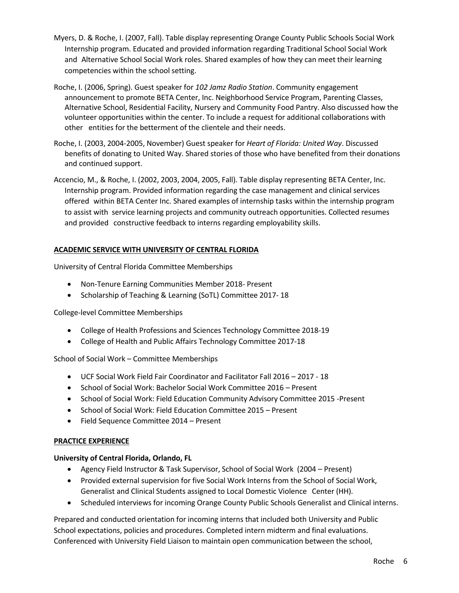- Myers, D. & Roche, I. (2007, Fall). Table display representing Orange County Public Schools Social Work Internship program. Educated and provided information regarding Traditional School Social Work and Alternative School Social Work roles. Shared examples of how they can meet their learning competencies within the school setting.
- Roche, I. (2006, Spring). Guest speaker for *102 Jamz Radio Station*. Community engagement announcement to promote BETA Center, Inc. Neighborhood Service Program, Parenting Classes, Alternative School, Residential Facility, Nursery and Community Food Pantry. Also discussed how the volunteer opportunities within the center. To include a request for additional collaborations with other entities for the betterment of the clientele and their needs.
- Roche, I. (2003, 2004-2005, November) Guest speaker for *Heart of Florida: United Way*. Discussed benefits of donating to United Way. Shared stories of those who have benefited from their donations and continued support.
- Accencio, M., & Roche, I. (2002, 2003, 2004, 2005, Fall). Table display representing BETA Center, Inc. Internship program. Provided information regarding the case management and clinical services offered within BETA Center Inc. Shared examples of internship tasks within the internship program to assist with service learning projects and community outreach opportunities. Collected resumes and provided constructive feedback to interns regarding employability skills.

# **ACADEMIC SERVICE WITH UNIVERSITY OF CENTRAL FLORIDA**

University of Central Florida Committee Memberships

- Non-Tenure Earning Communities Member 2018- Present
- Scholarship of Teaching & Learning (SoTL) Committee 2017- 18

College-level Committee Memberships

- College of Health Professions and Sciences Technology Committee 2018-19
- College of Health and Public Affairs Technology Committee 2017-18

School of Social Work – Committee Memberships

- UCF Social Work Field Fair Coordinator and Facilitator Fall 2016 2017 18
- School of Social Work: Bachelor Social Work Committee 2016 Present
- School of Social Work: Field Education Community Advisory Committee 2015 -Present
- School of Social Work: Field Education Committee 2015 Present
- Field Sequence Committee 2014 Present

### **PRACTICE EXPERIENCE**

### **University of Central Florida, Orlando, FL**

- Agency Field Instructor & Task Supervisor, School of Social Work (2004 Present)
- Provided external supervision for five Social Work Interns from the School of Social Work, Generalist and Clinical Students assigned to Local Domestic Violence Center (HH).
- Scheduled interviews for incoming Orange County Public Schools Generalist and Clinical interns.

Prepared and conducted orientation for incoming interns that included both University and Public School expectations, policies and procedures. Completed intern midterm and final evaluations. Conferenced with University Field Liaison to maintain open communication between the school,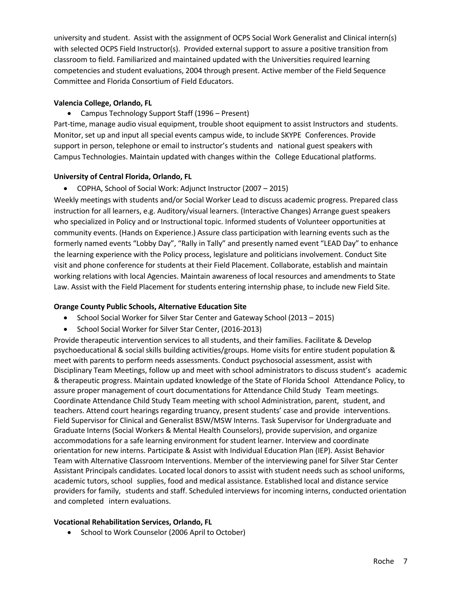university and student. Assist with the assignment of OCPS Social Work Generalist and Clinical intern(s) with selected OCPS Field Instructor(s). Provided external support to assure a positive transition from classroom to field. Familiarized and maintained updated with the Universities required learning competencies and student evaluations, 2004 through present. Active member of the Field Sequence Committee and Florida Consortium of Field Educators.

# **Valencia College, Orlando, FL**

• Campus Technology Support Staff (1996 – Present)

Part-time, manage audio visual equipment, trouble shoot equipment to assist Instructors and students. Monitor, set up and input all special events campus wide, to include SKYPE Conferences. Provide support in person, telephone or email to instructor's students and national guest speakers with Campus Technologies. Maintain updated with changes within the College Educational platforms.

# **University of Central Florida, Orlando, FL**

• COPHA, School of Social Work: Adjunct Instructor (2007 – 2015)

Weekly meetings with students and/or Social Worker Lead to discuss academic progress. Prepared class instruction for all learners, e.g. Auditory/visual learners. (Interactive Changes) Arrange guest speakers who specialized in Policy and or Instructional topic. Informed students of Volunteer opportunities at community events. (Hands on Experience.) Assure class participation with learning events such as the formerly named events "Lobby Day", "Rally in Tally" and presently named event "LEAD Day" to enhance the learning experience with the Policy process, legislature and politicians involvement. Conduct Site visit and phone conference for students at their Field Placement. Collaborate, establish and maintain working relations with local Agencies. Maintain awareness of local resources and amendments to State Law. Assist with the Field Placement for students entering internship phase, to include new Field Site.

# **Orange County Public Schools, Alternative Education Site**

- School Social Worker for Silver Star Center and Gateway School (2013 2015)
- School Social Worker for Silver Star Center, (2016-2013)

Provide therapeutic intervention services to all students, and their families. Facilitate & Develop psychoeducational & social skills building activities/groups. Home visits for entire student population & meet with parents to perform needs assessments. Conduct psychosocial assessment, assist with Disciplinary Team Meetings, follow up and meet with school administrators to discuss student's academic & therapeutic progress. Maintain updated knowledge of the State of Florida School Attendance Policy, to assure proper management of court documentations for Attendance Child Study Team meetings. Coordinate Attendance Child Study Team meeting with school Administration, parent, student, and teachers. Attend court hearings regarding truancy, present students' case and provide interventions. Field Supervisor for Clinical and Generalist BSW/MSW Interns. Task Supervisor for Undergraduate and Graduate Interns (Social Workers & Mental Health Counselors), provide supervision, and organize accommodations for a safe learning environment for student learner. Interview and coordinate orientation for new interns. Participate & Assist with Individual Education Plan (IEP). Assist Behavior Team with Alternative Classroom Interventions. Member of the interviewing panel for Silver Star Center Assistant Principals candidates. Located local donors to assist with student needs such as school uniforms, academic tutors, school supplies, food and medical assistance. Established local and distance service providers for family, students and staff. Scheduled interviews for incoming interns, conducted orientation and completed intern evaluations.

### **Vocational Rehabilitation Services, Orlando, FL**

• School to Work Counselor (2006 April to October)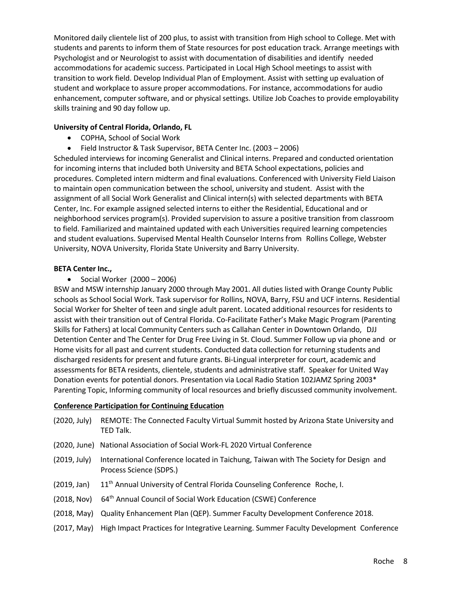Monitored daily clientele list of 200 plus, to assist with transition from High school to College. Met with students and parents to inform them of State resources for post education track. Arrange meetings with Psychologist and or Neurologist to assist with documentation of disabilities and identify needed accommodations for academic success. Participated in Local High School meetings to assist with transition to work field. Develop Individual Plan of Employment. Assist with setting up evaluation of student and workplace to assure proper accommodations. For instance, accommodations for audio enhancement, computer software, and or physical settings. Utilize Job Coaches to provide employability skills training and 90 day follow up.

## **University of Central Florida, Orlando, FL**

- COPHA, School of Social Work
- Field Instructor & Task Supervisor, BETA Center Inc. (2003 2006)

Scheduled interviews for incoming Generalist and Clinical interns. Prepared and conducted orientation for incoming interns that included both University and BETA School expectations, policies and procedures. Completed intern midterm and final evaluations. Conferenced with University Field Liaison to maintain open communication between the school, university and student. Assist with the assignment of all Social Work Generalist and Clinical intern(s) with selected departments with BETA Center, Inc. For example assigned selected interns to either the Residential, Educational and or neighborhood services program(s). Provided supervision to assure a positive transition from classroom to field. Familiarized and maintained updated with each Universities required learning competencies and student evaluations. Supervised Mental Health Counselor Interns from Rollins College, Webster University, NOVA University, Florida State University and Barry University.

# **BETA Center Inc.,**

• Social Worker (2000 – 2006)

BSW and MSW internship January 2000 through May 2001. All duties listed with Orange County Public schools as School Social Work. Task supervisor for Rollins, NOVA, Barry, FSU and UCF interns. Residential Social Worker for Shelter of teen and single adult parent. Located additional resources for residents to assist with their transition out of Central Florida. Co-Facilitate Father's Make Magic Program (Parenting Skills for Fathers) at local Community Centers such as Callahan Center in Downtown Orlando, DJJ Detention Center and The Center for Drug Free Living in St. Cloud. Summer Follow up via phone and or Home visits for all past and current students. Conducted data collection for returning students and discharged residents for present and future grants. Bi-Lingual interpreter for court, academic and assessments for BETA residents, clientele, students and administrative staff. Speaker for United Way Donation events for potential donors. Presentation via Local Radio Station 102JAMZ Spring 2003\* Parenting Topic, Informing community of local resources and briefly discussed community involvement.

### **Conference Participation for Continuing Education**

| (2020, July) | REMOTE: The Connected Faculty Virtual Summit hosted by Arizona State University and<br>TED Talk.                |
|--------------|-----------------------------------------------------------------------------------------------------------------|
|              | (2020, June) National Association of Social Work-FL 2020 Virtual Conference                                     |
| (2019, July) | International Conference located in Taichung, Taiwan with The Society for Design and<br>Process Science (SDPS.) |
| (2019, Jan)  | 11 <sup>th</sup> Annual University of Central Florida Counseling Conference Roche, I.                           |
| (2018, Nov)  | 64 <sup>th</sup> Annual Council of Social Work Education (CSWE) Conference                                      |
| (2018, May)  | Quality Enhancement Plan (QEP). Summer Faculty Development Conference 2018.                                     |
| (2017, May)  | High Impact Practices for Integrative Learning. Summer Faculty Development Conference                           |
|              |                                                                                                                 |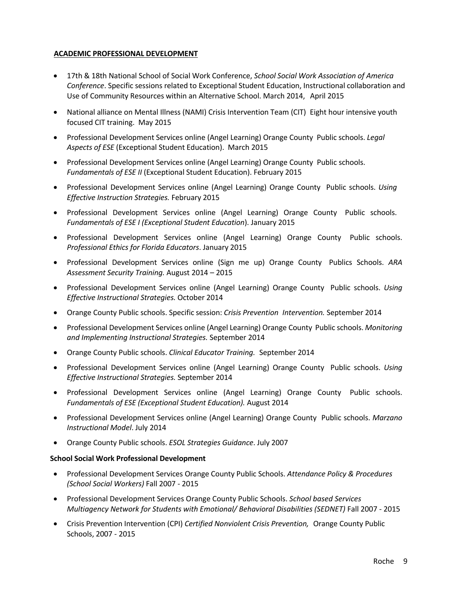# **ACADEMIC PROFESSIONAL DEVELOPMENT**

- 17th & 18th National School of Social Work Conference, *School Social Work Association of America Conference*. Specific sessions related to Exceptional Student Education, Instructional collaboration and Use of Community Resources within an Alternative School. March 2014, April 2015
- National alliance on Mental Illness (NAMI) Crisis Intervention Team (CIT) Eight hour intensive youth focused CIT training. May 2015
- Professional Development Services online (Angel Learning) Orange County Public schools. *Legal Aspects of ESE* (Exceptional Student Education). March 2015
- Professional Development Services online (Angel Learning) Orange County Public schools. *Fundamentals of ESE II* (Exceptional Student Education). February 2015
- Professional Development Services online (Angel Learning) Orange County Public schools. *Using Effective Instruction Strategies.* February 2015
- Professional Development Services online (Angel Learning) Orange County Public schools. *Fundamentals of ESE I (Exceptional Student Education*). January 2015
- Professional Development Services online (Angel Learning) Orange County Public schools. *Professional Ethics for Florida Educators*. January 2015
- Professional Development Services online (Sign me up) Orange County Publics Schools. *ARA Assessment Security Training.* August 2014 – 2015
- Professional Development Services online (Angel Learning) Orange County Public schools. *Using Effective Instructional Strategies.* October 2014
- Orange County Public schools. Specific session: *Crisis Prevention Intervention.* September 2014
- Professional Development Services online (Angel Learning) Orange County Public schools. *Monitoring and Implementing Instructional Strategies.* September 2014
- Orange County Public schools. *Clinical Educator Training.* September 2014
- Professional Development Services online (Angel Learning) Orange County Public schools. *Using Effective Instructional Strategies.* September 2014
- Professional Development Services online (Angel Learning) Orange County Public schools. *Fundamentals of ESE (Exceptional Student Education).* August 2014
- Professional Development Services online (Angel Learning) Orange County Public schools. *Marzano Instructional Model*. July 2014
- Orange County Public schools. *ESOL Strategies Guidance*. July 2007

#### **School Social Work Professional Development**

- Professional Development Services Orange County Public Schools. *Attendance Policy & Procedures (School Social Workers)* Fall 2007 - 2015
- Professional Development Services Orange County Public Schools. *School based Services Multiagency Network for Students with Emotional/ Behavioral Disabilities (SEDNET)* Fall 2007 - 2015
- Crisis Prevention Intervention (CPI) *Certified Nonviolent Crisis Prevention,* Orange County Public Schools, 2007 - 2015